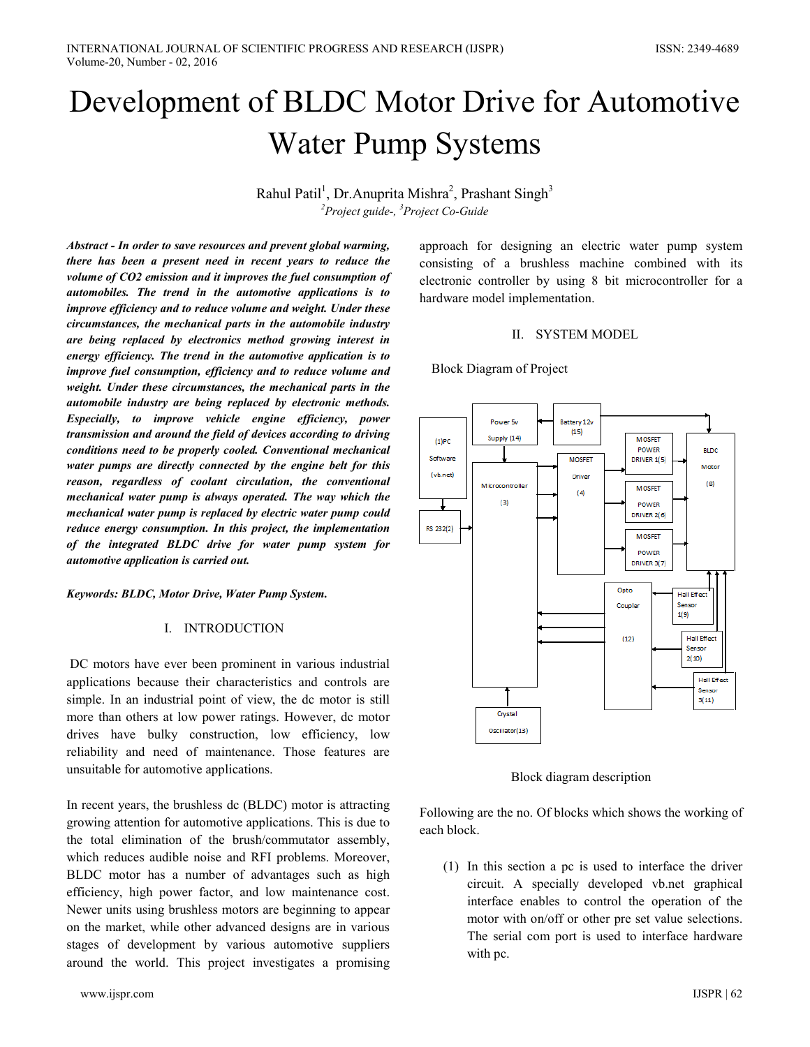# Development of BLDC Motor Drive for Automotive **Water Pump Systems**

Rahul Patil<sup>1</sup>, Dr. Anuprita Mishra<sup>2</sup>, Prashant Singh<sup>3</sup>  ${}^{2}$ Project guide-,  ${}^{3}$ Project Co-Guide

Abstract - In order to save resources and prevent global warming, there has been a present need in recent years to reduce the volume of CO2 emission and it improves the fuel consumption of automobiles. The trend in the automotive applications is to improve efficiency and to reduce volume and weight. Under these circumstances, the mechanical parts in the automobile industry are being replaced by electronics method growing interest in energy efficiency. The trend in the automotive application is to improve fuel consumption, efficiency and to reduce volume and weight. Under these circumstances, the mechanical parts in the automobile industry are being replaced by electronic methods. Especially, to improve vehicle engine efficiency, power transmission and around the field of devices according to driving conditions need to be properly cooled. Conventional mechanical water pumps are directly connected by the engine belt for this reason, regardless of coolant circulation, the conventional mechanical water pump is always operated. The way which the mechanical water pump is replaced by electric water pump could reduce energy consumption. In this project, the implementation of the integrated BLDC drive for water pump system for automotive application is carried out.

Keywords: BLDC, Motor Drive, Water Pump System.

## **I. INTRODUCTION**

DC motors have ever been prominent in various industrial applications because their characteristics and controls are simple. In an industrial point of view, the dc motor is still more than others at low power ratings. However, dc motor drives have bulky construction, low efficiency, low reliability and need of maintenance. Those features are unsuitable for automotive applications.

In recent years, the brushless dc (BLDC) motor is attracting growing attention for automotive applications. This is due to the total elimination of the brush/commutator assembly, which reduces audible noise and RFI problems. Moreover, BLDC motor has a number of advantages such as high efficiency, high power factor, and low maintenance cost. Newer units using brushless motors are beginning to appear on the market, while other advanced designs are in various stages of development by various automotive suppliers around the world. This project investigates a promising approach for designing an electric water pump system consisting of a brushless machine combined with its electronic controller by using 8 bit microcontroller for a hardware model implementation.

## II. SYSTEM MODEL

## **Block Diagram of Project**



Block diagram description

Following are the no. Of blocks which shows the working of each block.

(1) In this section a pc is used to interface the driver circuit. A specially developed vb.net graphical interface enables to control the operation of the motor with on/off or other pre set value selections. The serial comport is used to interface hardware with pc.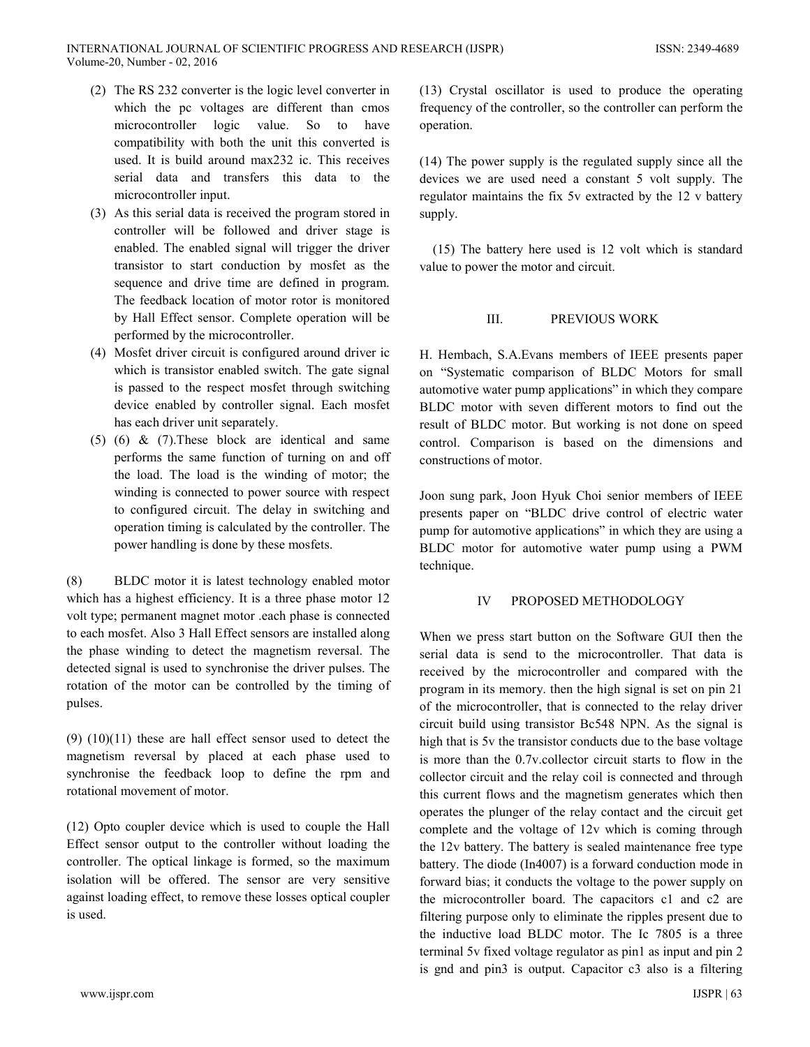- (2) The RS 232 converter is the logic level converter in which the pc voltages are different than cmos microcontroller logic value. So to have compatibility with both the unit this converted is used. It is build around max232 ic. This receives serial data and transfers this data to the microcontroller input.
- (3) As this serial data is received the program stored in controller will be followed and driver stage is enabled. The enabled signal will trigger the driver transistor to start conduction by mosfet as the sequence and drive time are defined in program. The feedback location of motor rotor is monitored by Hall Effect sensor. Complete operation will be performed by the microcontroller.
- (4) Mosfet driver circuit is configured around driver ic which is transistor enabled switch. The gate signal is passed to the respect mosfet through switching device enabled by controller signal. Each mosfet has each driver unit separately.
- $(5)$   $(6)$  &  $(7)$ . These block are identical and same performs the same function of turning on and off the load. The load is the winding of motor; the winding is connected to power source with respect to configured circuit. The delay in switching and operation timing is calculated by the controller. The power handling is done by these mosfets.

 $(8)$ BLDC motor it is latest technology enabled motor which has a highest efficiency. It is a three phase motor 12 volt type; permanent magnet motor .each phase is connected to each mosfet. Also 3 Hall Effect sensors are installed along the phase winding to detect the magnetism reversal. The detected signal is used to synchronise the driver pulses. The rotation of the motor can be controlled by the timing of pulses.

 $(9)$   $(10)(11)$  these are hall effect sensor used to detect the magnetism reversal by placed at each phase used to synchronise the feedback loop to define the rpm and rotational movement of motor.

(12) Opto coupler device which is used to couple the Hall Effect sensor output to the controller without loading the controller. The optical linkage is formed, so the maximum isolation will be offered. The sensor are very sensitive against loading effect, to remove these losses optical coupler is used.

(13) Crystal oscillator is used to produce the operating frequency of the controller, so the controller can perform the operation.

 $(14)$  The power supply is the regulated supply since all the devices we are used need a constant 5 volt supply. The regulator maintains the fix 5v extracted by the 12 v battery supply.

(15) The battery here used is 12 volt which is standard value to power the motor and circuit.

#### $III$ PREVIOUS WORK

H. Hembach, S.A. Evans members of IEEE presents paper on "Systematic comparison of BLDC Motors for small automotive water pump applications" in which they compare BLDC motor with seven different motors to find out the result of BLDC motor. But working is not done on speed control. Comparison is based on the dimensions and constructions of motor.

Joon sung park, Joon Hyuk Choi senior members of IEEE presents paper on "BLDC drive control of electric water pump for automotive applications" in which they are using a BLDC motor for automotive water pump using a PWM technique.

#### IV PROPOSED METHODOLOGY

When we press start button on the Software GUI then the serial data is send to the microcontroller. That data is received by the microcontroller and compared with the program in its memory, then the high signal is set on pin 21 of the microcontroller, that is connected to the relay driver circuit build using transistor Bc548 NPN. As the signal is high that is 5v the transistor conducts due to the base voltage is more than the 0.7y collector circuit starts to flow in the collector circuit and the relay coil is connected and through this current flows and the magnetism generates which then operates the plunger of the relay contact and the circuit get complete and the voltage of 12v which is coming through the 12y battery. The battery is sealed maintenance free type battery. The diode (In4007) is a forward conduction mode in forward bias; it conducts the voltage to the power supply on the microcontroller board. The capacitors c1 and c2 are filtering purpose only to eliminate the ripples present due to the inductive load BLDC motor. The Ic 7805 is a three terminal 5v fixed voltage regulator as pin1 as input and pin 2 is gnd and pin3 is output. Capacitor c3 also is a filtering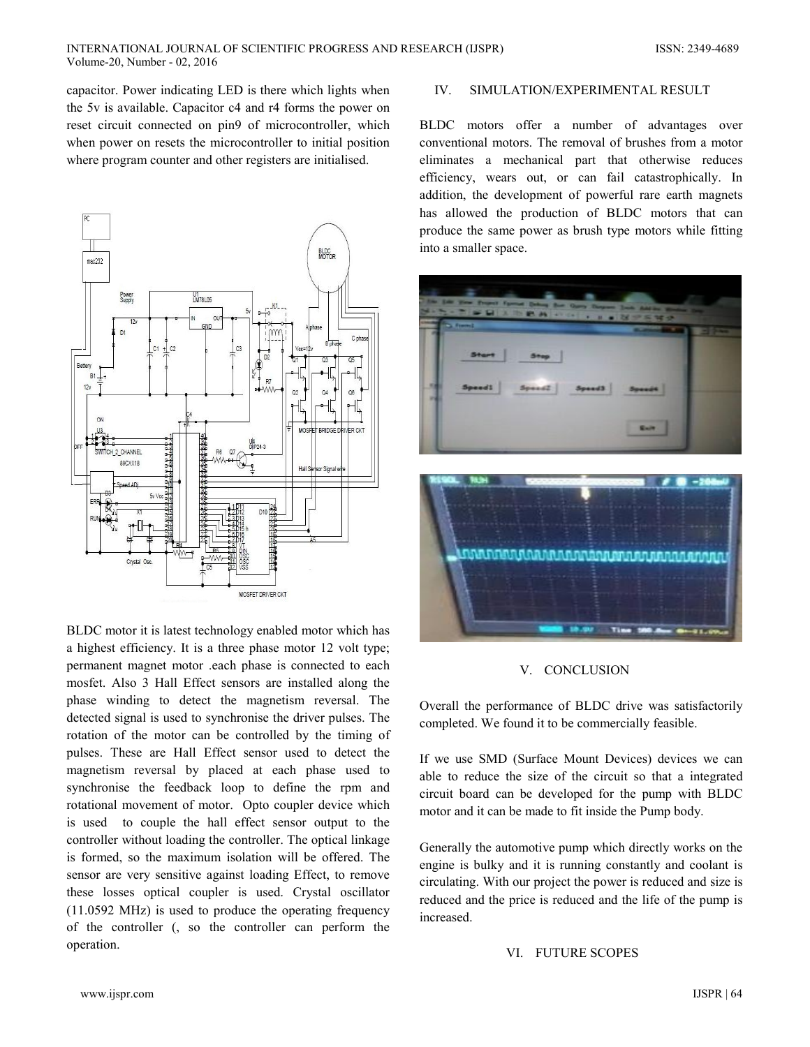capacitor. Power indicating LED is there which lights when the 5v is available. Capacitor c4 and r4 forms the power on reset circuit connected on pin9 of microcontroller, which when power on resets the microcontroller to initial position where program counter and other registers are initialised.



BLDC motor it is latest technology enabled motor which has a highest efficiency. It is a three phase motor 12 volt type; permanent magnet motor .each phase is connected to each mosfet. Also 3 Hall Effect sensors are installed along the phase winding to detect the magnetism reversal. The detected signal is used to synchronise the driver pulses. The rotation of the motor can be controlled by the timing of pulses. These are Hall Effect sensor used to detect the magnetism reversal by placed at each phase used to synchronise the feedback loop to define the rpm and rotational movement of motor. Opto coupler device which is used to couple the hall effect sensor output to the controller without loading the controller. The optical linkage is formed, so the maximum isolation will be offered. The sensor are very sensitive against loading Effect, to remove these losses optical coupler is used. Crystal oscillator  $(11.0592 \text{ MHz})$  is used to produce the operating frequency of the controller (, so the controller can perform the operation.

#### $IV.$ SIMULATION/EXPERIMENTAL RESULT

BLDC motors offer a number of advantages over conventional motors. The removal of brushes from a motor eliminates a mechanical part that otherwise reduces efficiency, wears out, or can fail catastrophically. In addition, the development of powerful rare earth magnets has allowed the production of BLDC motors that can produce the same power as brush type motors while fitting into a smaller space.



### V. CONCLUSION

Overall the performance of BLDC drive was satisfactorily completed. We found it to be commercially feasible.

If we use SMD (Surface Mount Devices) devices we can able to reduce the size of the circuit so that a integrated circuit board can be developed for the pump with BLDC motor and it can be made to fit inside the Pump body.

Generally the automotive pump which directly works on the engine is bulky and it is running constantly and coolant is circulating. With our project the power is reduced and size is reduced and the price is reduced and the life of the pump is increased.

VI. FUTURE SCOPES